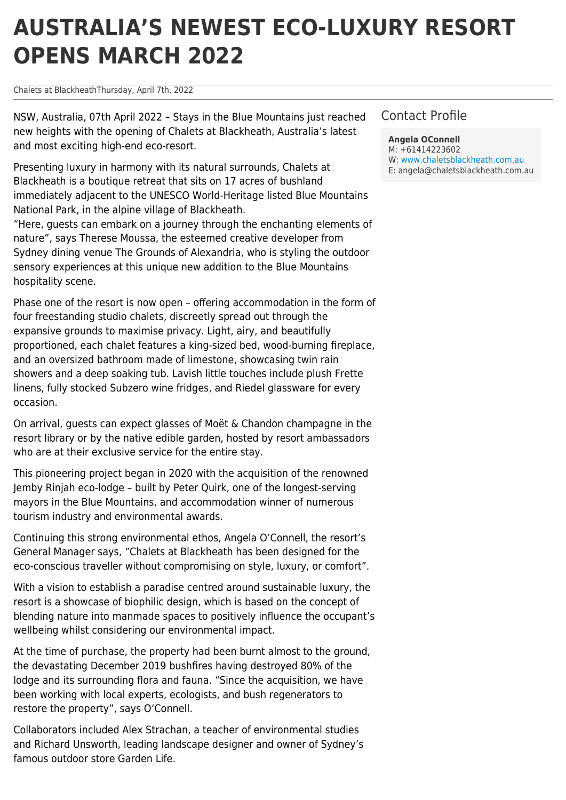# **AUSTRALIA'S NEWEST ECO-LUXURY RESORT OPENS MARCH 2022**

Chalets at BlackheathThursday, April 7th, 2022

NSW, Australia, 07th April 2022 – Stays in the Blue Mountains just reached new heights with the opening of Chalets at Blackheath, Australia's latest and most exciting high-end eco-resort.

Presenting luxury in harmony with its natural surrounds, Chalets at Blackheath is a boutique retreat that sits on 17 acres of bushland immediately adjacent to the UNESCO World-Heritage listed Blue Mountains National Park, in the alpine village of Blackheath.

"Here, guests can embark on a journey through the enchanting elements of nature", says Therese Moussa, the esteemed creative developer from Sydney dining venue The Grounds of Alexandria, who is styling the outdoor sensory experiences at this unique new addition to the Blue Mountains hospitality scene.

Phase one of the resort is now open – offering accommodation in the form of four freestanding studio chalets, discreetly spread out through the expansive grounds to maximise privacy. Light, airy, and beautifully proportioned, each chalet features a king-sized bed, wood-burning fireplace, and an oversized bathroom made of limestone, showcasing twin rain showers and a deep soaking tub. Lavish little touches include plush Frette linens, fully stocked Subzero wine fridges, and Riedel glassware for every occasion.

On arrival, guests can expect glasses of Moët & Chandon champagne in the resort library or by the native edible garden, hosted by resort ambassadors who are at their exclusive service for the entire stay.

This pioneering project began in 2020 with the acquisition of the renowned Jemby Rinjah eco-lodge – built by Peter Quirk, one of the longest-serving mayors in the Blue Mountains, and accommodation winner of numerous tourism industry and environmental awards.

Continuing this strong environmental ethos, Angela O'Connell, the resort's General Manager says, "Chalets at Blackheath has been designed for the eco-conscious traveller without compromising on style, luxury, or comfort".

With a vision to establish a paradise centred around sustainable luxury, the resort is a showcase of biophilic design, which is based on the concept of blending nature into manmade spaces to positively influence the occupant's wellbeing whilst considering our environmental impact.

At the time of purchase, the property had been burnt almost to the ground, the devastating December 2019 bushfires having destroyed 80% of the lodge and its surrounding flora and fauna. "Since the acquisition, we have been working with local experts, ecologists, and bush regenerators to restore the property", says O'Connell.

Collaborators included Alex Strachan, a teacher of environmental studies and Richard Unsworth, leading landscape designer and owner of Sydney's famous outdoor store Garden Life.

## Contact Profile

**Angela OConnell** M: +61414223602 W: [www.chaletsblackheath.com.au](http://www.chaletsblackheath.com.au) E: angela@chaletsblackheath.com.au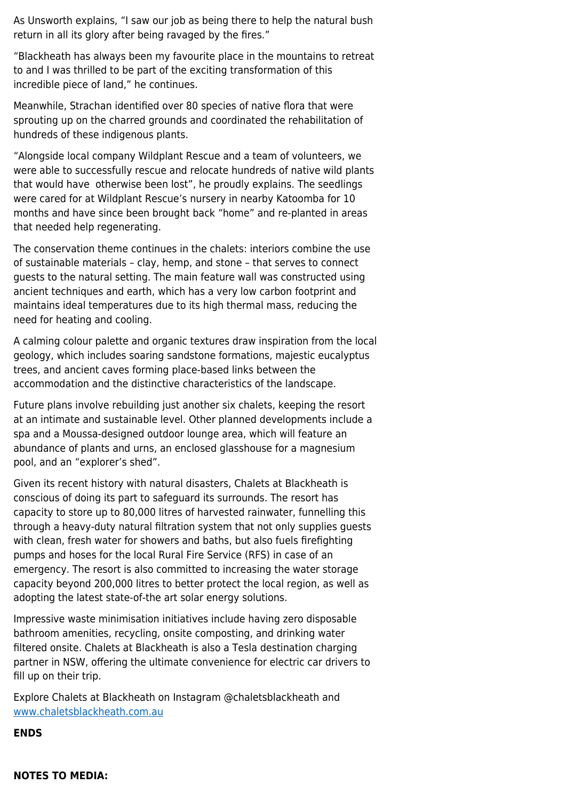As Unsworth explains, "I saw our job as being there to help the natural bush return in all its glory after being ravaged by the fires."

"Blackheath has always been my favourite place in the mountains to retreat to and I was thrilled to be part of the exciting transformation of this incredible piece of land," he continues.

Meanwhile, Strachan identified over 80 species of native flora that were sprouting up on the charred grounds and coordinated the rehabilitation of hundreds of these indigenous plants.

"Alongside local company Wildplant Rescue and a team of volunteers, we were able to successfully rescue and relocate hundreds of native wild plants that would have otherwise been lost", he proudly explains. The seedlings were cared for at Wildplant Rescue's nursery in nearby Katoomba for 10 months and have since been brought back "home" and re-planted in areas that needed help regenerating.

The conservation theme continues in the chalets: interiors combine the use of sustainable materials – clay, hemp, and stone – that serves to connect guests to the natural setting. The main feature wall was constructed using ancient techniques and earth, which has a very low carbon footprint and maintains ideal temperatures due to its high thermal mass, reducing the need for heating and cooling.

A calming colour palette and organic textures draw inspiration from the local geology, which includes soaring sandstone formations, majestic eucalyptus trees, and ancient caves forming place-based links between the accommodation and the distinctive characteristics of the landscape.

Future plans involve rebuilding just another six chalets, keeping the resort at an intimate and sustainable level. Other planned developments include a spa and a Moussa-designed outdoor lounge area, which will feature an abundance of plants and urns, an enclosed glasshouse for a magnesium pool, and an "explorer's shed".

Given its recent history with natural disasters, Chalets at Blackheath is conscious of doing its part to safeguard its surrounds. The resort has capacity to store up to 80,000 litres of harvested rainwater, funnelling this through a heavy-duty natural filtration system that not only supplies guests with clean, fresh water for showers and baths, but also fuels firefighting pumps and hoses for the local Rural Fire Service (RFS) in case of an emergency. The resort is also committed to increasing the water storage capacity beyond 200,000 litres to better protect the local region, as well as adopting the latest state-of-the art solar energy solutions.

Impressive waste minimisation initiatives include having zero disposable bathroom amenities, recycling, onsite composting, and drinking water filtered onsite. Chalets at Blackheath is also a Tesla destination charging partner in NSW, offering the ultimate convenience for electric car drivers to fill up on their trip.

Explore Chalets at Blackheath on Instagram @chaletsblackheath and [www.chaletsblackheath.com.au](http://www.chaletsblackheath.com.au)

**ENDS**